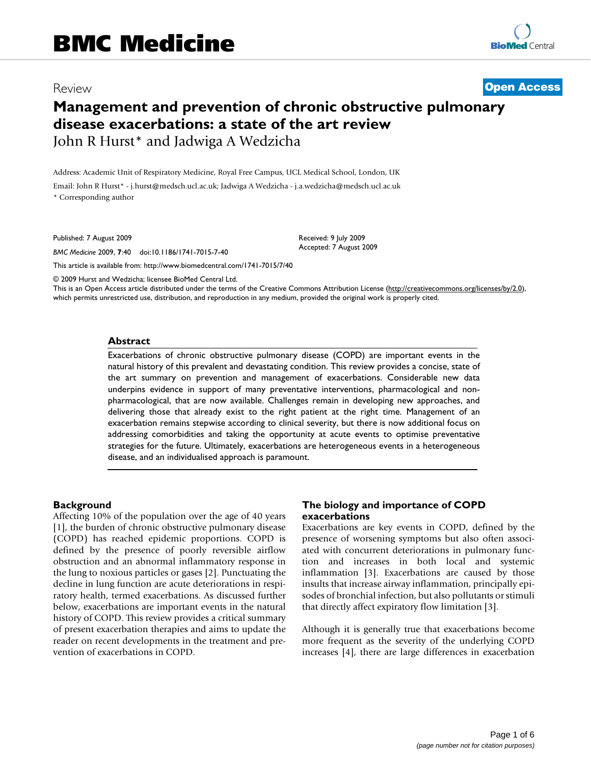# Review **[Open Access](http://www.biomedcentral.com/info/about/charter/)**

# **Management and prevention of chronic obstructive pulmonary disease exacerbations: a state of the art review** John R Hurst\* and Jadwiga A Wedzicha

Address: Academic Unit of Respiratory Medicine, Royal Free Campus, UCL Medical School, London, UK

Email: John R Hurst\* - j.hurst@medsch.ucl.ac.uk; Jadwiga A Wedzicha - j.a.wedzicha@medsch.ucl.ac.uk \* Corresponding author

Published: 7 August 2009

*BMC Medicine* 2009, **7**:40 doi:10.1186/1741-7015-7-40

[This article is available from: http://www.biomedcentral.com/1741-7015/7/40](http://www.biomedcentral.com/1741-7015/7/40)

© 2009 Hurst and Wedzicha; licensee BioMed Central Ltd.

This is an Open Access article distributed under the terms of the Creative Commons Attribution License [\(http://creativecommons.org/licenses/by/2.0\)](http://creativecommons.org/licenses/by/2.0), which permits unrestricted use, distribution, and reproduction in any medium, provided the original work is properly cited.

Received: 9 July 2009 Accepted: 7 August 2009

#### **Abstract**

Exacerbations of chronic obstructive pulmonary disease (COPD) are important events in the natural history of this prevalent and devastating condition. This review provides a concise, state of the art summary on prevention and management of exacerbations. Considerable new data underpins evidence in support of many preventative interventions, pharmacological and nonpharmacological, that are now available. Challenges remain in developing new approaches, and delivering those that already exist to the right patient at the right time. Management of an exacerbation remains stepwise according to clinical severity, but there is now additional focus on addressing comorbidities and taking the opportunity at acute events to optimise preventative strategies for the future. Ultimately, exacerbations are heterogeneous events in a heterogeneous disease, and an individualised approach is paramount.

#### **Background**

Affecting 10% of the population over the age of 40 years [[1\]](#page-4-0), the burden of chronic obstructive pulmonary disease (COPD) has reached epidemic proportions. COPD is defined by the presence of poorly reversible airflow obstruction and an abnormal inflammatory response in the lung to noxious particles or gases [[2](#page-4-1)]. Punctuating the decline in lung function are acute deteriorations in respiratory health, termed exacerbations. As discussed further below, exacerbations are important events in the natural history of COPD. This review provides a critical summary of present exacerbation therapies and aims to update the reader on recent developments in the treatment and prevention of exacerbations in COPD.

#### **The biology and importance of COPD exacerbations**

Exacerbations are key events in COPD, defined by the presence of worsening symptoms but also often associated with concurrent deteriorations in pulmonary function and increases in both local and systemic inflammation [\[3](#page-4-2)]. Exacerbations are caused by those insults that increase airway inflammation, principally episodes of bronchial infection, but also pollutants or stimuli that directly affect expiratory flow limitation [\[3\]](#page-4-2).

Although it is generally true that exacerbations become more frequent as the severity of the underlying COPD increases [[4](#page-4-3)], there are large differences in exacerbation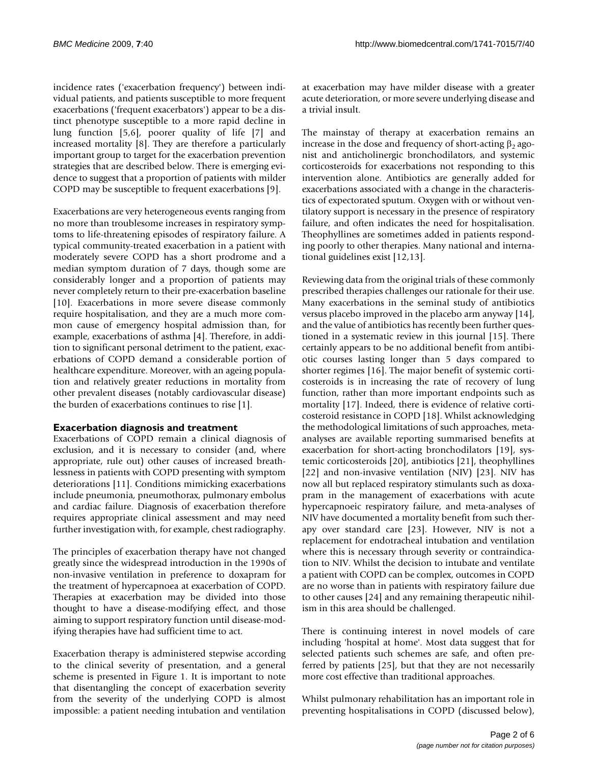incidence rates ('exacerbation frequency') between individual patients, and patients susceptible to more frequent exacerbations ('frequent exacerbators') appear to be a distinct phenotype susceptible to a more rapid decline in lung function [\[5,](#page-4-4)[6\]](#page-4-5), poorer quality of life [\[7\]](#page-4-6) and increased mortality [[8](#page-4-7)]. They are therefore a particularly important group to target for the exacerbation prevention strategies that are described below. There is emerging evidence to suggest that a proportion of patients with milder COPD may be susceptible to frequent exacerbations [[9](#page-4-8)].

Exacerbations are very heterogeneous events ranging from no more than troublesome increases in respiratory symptoms to life-threatening episodes of respiratory failure. A typical community-treated exacerbation in a patient with moderately severe COPD has a short prodrome and a median symptom duration of 7 days, though some are considerably longer and a proportion of patients may never completely return to their pre-exacerbation baseline [[10](#page-4-9)]. Exacerbations in more severe disease commonly require hospitalisation, and they are a much more common cause of emergency hospital admission than, for example, exacerbations of asthma [[4](#page-4-3)]. Therefore, in addition to significant personal detriment to the patient, exacerbations of COPD demand a considerable portion of healthcare expenditure. Moreover, with an ageing population and relatively greater reductions in mortality from other prevalent diseases (notably cardiovascular disease) the burden of exacerbations continues to rise [\[1\]](#page-4-0).

# **Exacerbation diagnosis and treatment**

Exacerbations of COPD remain a clinical diagnosis of exclusion, and it is necessary to consider (and, where appropriate, rule out) other causes of increased breathlessness in patients with COPD presenting with symptom deteriorations [\[11](#page-4-10)]. Conditions mimicking exacerbations include pneumonia, pneumothorax, pulmonary embolus and cardiac failure. Diagnosis of exacerbation therefore requires appropriate clinical assessment and may need further investigation with, for example, chest radiography.

The principles of exacerbation therapy have not changed greatly since the widespread introduction in the 1990s of non-invasive ventilation in preference to doxapram for the treatment of hypercapnoea at exacerbation of COPD. Therapies at exacerbation may be divided into those thought to have a disease-modifying effect, and those aiming to support respiratory function until disease-modifying therapies have had sufficient time to act.

Exacerbation therapy is administered stepwise according to the clinical severity of presentation, and a general scheme is presented in Figure [1](#page-2-0). It is important to note that disentangling the concept of exacerbation severity from the severity of the underlying COPD is almost impossible: a patient needing intubation and ventilation

at exacerbation may have milder disease with a greater acute deterioration, or more severe underlying disease and a trivial insult.

The mainstay of therapy at exacerbation remains an increase in the dose and frequency of short-acting  $\beta_2$  agonist and anticholinergic bronchodilators, and systemic corticosteroids for exacerbations not responding to this intervention alone. Antibiotics are generally added for exacerbations associated with a change in the characteristics of expectorated sputum. Oxygen with or without ventilatory support is necessary in the presence of respiratory failure, and often indicates the need for hospitalisation. Theophyllines are sometimes added in patients responding poorly to other therapies. Many national and international guidelines exist [[12,](#page-4-11)[13\]](#page-4-12).

Reviewing data from the original trials of these commonly prescribed therapies challenges our rationale for their use. Many exacerbations in the seminal study of antibiotics versus placebo improved in the placebo arm anyway [\[14](#page-4-13)], and the value of antibiotics has recently been further questioned in a systematic review in this journal [\[15](#page-4-14)]. There certainly appears to be no additional benefit from antibiotic courses lasting longer than 5 days compared to shorter regimes [\[16\]](#page-4-15). The major benefit of systemic corticosteroids is in increasing the rate of recovery of lung function, rather than more important endpoints such as mortality [\[17](#page-4-16)]. Indeed, there is evidence of relative corticosteroid resistance in COPD [[18](#page-4-17)]. Whilst acknowledging the methodological limitations of such approaches, metaanalyses are available reporting summarised benefits at exacerbation for short-acting bronchodilators [\[19](#page-4-18)], systemic corticosteroids [[20\]](#page-5-0), antibiotics [[21\]](#page-5-1), theophyllines [[22](#page-5-2)] and non-invasive ventilation (NIV) [\[23](#page-5-3)]. NIV has now all but replaced respiratory stimulants such as doxapram in the management of exacerbations with acute hypercapnoeic respiratory failure, and meta-analyses of NIV have documented a mortality benefit from such therapy over standard care [[23\]](#page-5-3). However, NIV is not a replacement for endotracheal intubation and ventilation where this is necessary through severity or contraindication to NIV. Whilst the decision to intubate and ventilate a patient with COPD can be complex, outcomes in COPD are no worse than in patients with respiratory failure due to other causes [[24\]](#page-5-4) and any remaining therapeutic nihilism in this area should be challenged.

There is continuing interest in novel models of care including 'hospital at home'. Most data suggest that for selected patients such schemes are safe, and often preferred by patients [\[25](#page-5-5)], but that they are not necessarily more cost effective than traditional approaches.

Whilst pulmonary rehabilitation has an important role in preventing hospitalisations in COPD (discussed below),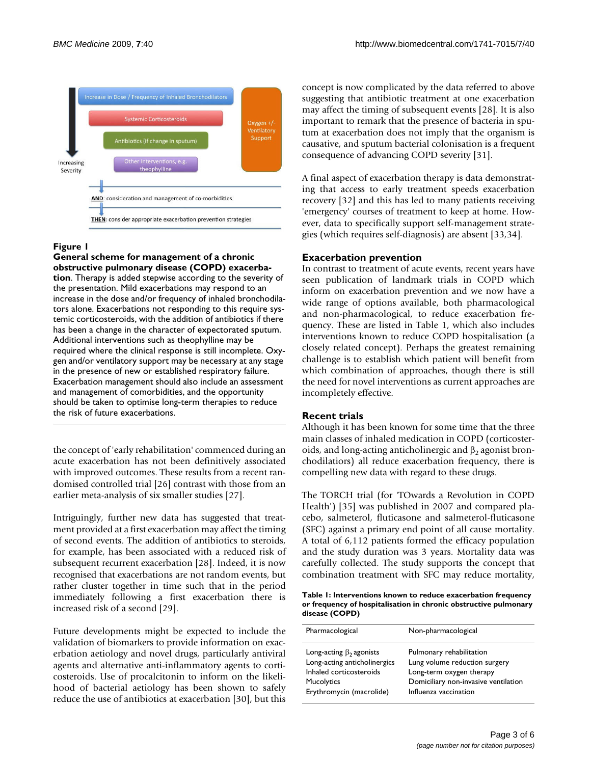<span id="page-2-0"></span>

# Figure 1

**General scheme for management of a chronic obstructive pulmonary disease (COPD) exacerbation**. Therapy is added stepwise according to the severity of the presentation. Mild exacerbations may respond to an increase in the dose and/or frequency of inhaled bronchodilators alone. Exacerbations not responding to this require systemic corticosteroids, with the addition of antibiotics if there has been a change in the character of expectorated sputum. Additional interventions such as theophylline may be required where the clinical response is still incomplete. Oxygen and/or ventilatory support may be necessary at any stage in the presence of new or established respiratory failure. Exacerbation management should also include an assessment and management of comorbidities, and the opportunity should be taken to optimise long-term therapies to reduce the risk of future exacerbations.

the concept of 'early rehabilitation' commenced during an acute exacerbation has not been definitively associated with improved outcomes. These results from a recent randomised controlled trial [\[26\]](#page-5-6) contrast with those from an earlier meta-analysis of six smaller studies [\[27\]](#page-5-7).

Intriguingly, further new data has suggested that treatment provided at a first exacerbation may affect the timing of second events. The addition of antibiotics to steroids, for example, has been associated with a reduced risk of subsequent recurrent exacerbation [[28](#page-5-8)]. Indeed, it is now recognised that exacerbations are not random events, but rather cluster together in time such that in the period immediately following a first exacerbation there is increased risk of a second [\[29](#page-5-9)].

Future developments might be expected to include the validation of biomarkers to provide information on exacerbation aetiology and novel drugs, particularly antiviral agents and alternative anti-inflammatory agents to corticosteroids. Use of procalcitonin to inform on the likelihood of bacterial aetiology has been shown to safely reduce the use of antibiotics at exacerbation [[30\]](#page-5-10), but this concept is now complicated by the data referred to above suggesting that antibiotic treatment at one exacerbation may affect the timing of subsequent events [\[28](#page-5-8)]. It is also important to remark that the presence of bacteria in sputum at exacerbation does not imply that the organism is causative, and sputum bacterial colonisation is a frequent consequence of advancing COPD severity [[31\]](#page-5-11).

A final aspect of exacerbation therapy is data demonstrating that access to early treatment speeds exacerbation recovery [\[32](#page-5-12)] and this has led to many patients receiving 'emergency' courses of treatment to keep at home. However, data to specifically support self-management strategies (which requires self-diagnosis) are absent [[33,](#page-5-13)[34](#page-5-14)].

# **Exacerbation prevention**

In contrast to treatment of acute events, recent years have seen publication of landmark trials in COPD which inform on exacerbation prevention and we now have a wide range of options available, both pharmacological and non-pharmacological, to reduce exacerbation frequency. These are listed in Table [1](#page-2-1), which also includes interventions known to reduce COPD hospitalisation (a closely related concept). Perhaps the greatest remaining challenge is to establish which patient will benefit from which combination of approaches, though there is still the need for novel interventions as current approaches are incompletely effective.

# **Recent trials**

Although it has been known for some time that the three main classes of inhaled medication in COPD (corticosteroids, and long-acting anticholinergic and  $\beta_2$  agonist bronchodilatiors) all reduce exacerbation frequency, there is compelling new data with regard to these drugs.

The TORCH trial (for 'TOwards a Revolution in COPD Health') [[35](#page-5-15)] was published in 2007 and compared placebo, salmeterol, fluticasone and salmeterol-fluticasone (SFC) against a primary end point of all cause mortality. A total of 6,112 patients formed the efficacy population and the study duration was 3 years. Mortality data was carefully collected. The study supports the concept that combination treatment with SFC may reduce mortality,

<span id="page-2-1"></span>**Table 1: Interventions known to reduce exacerbation frequency or frequency of hospitalisation in chronic obstructive pulmonary disease (COPD)**

| Pharmacological                | Non-pharmacological                  |
|--------------------------------|--------------------------------------|
| Long-acting $\beta_2$ agonists | Pulmonary rehabilitation             |
| Long-acting anticholinergics   | Lung volume reduction surgery        |
| Inhaled corticosteroids        | Long-term oxygen therapy             |
| <b>Mucolytics</b>              | Domiciliary non-invasive ventilation |
| Erythromycin (macrolide)       | Influenza vaccination                |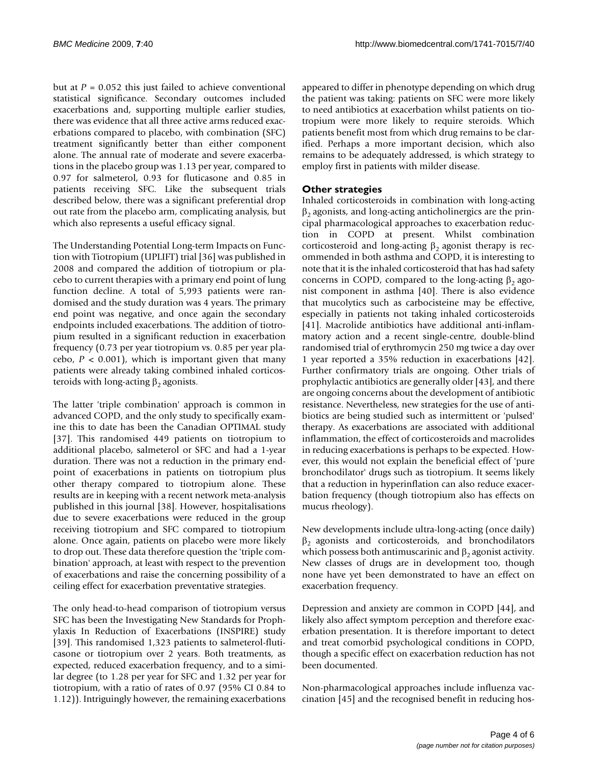but at  $P = 0.052$  this just failed to achieve conventional statistical significance. Secondary outcomes included exacerbations and, supporting multiple earlier studies, there was evidence that all three active arms reduced exacerbations compared to placebo, with combination (SFC) treatment significantly better than either component alone. The annual rate of moderate and severe exacerbations in the placebo group was 1.13 per year, compared to 0.97 for salmeterol, 0.93 for fluticasone and 0.85 in patients receiving SFC. Like the subsequent trials described below, there was a significant preferential drop out rate from the placebo arm, complicating analysis, but which also represents a useful efficacy signal.

The Understanding Potential Long-term Impacts on Function with Tiotropium (UPLIFT) trial [\[36](#page-5-16)] was published in 2008 and compared the addition of tiotropium or placebo to current therapies with a primary end point of lung function decline. A total of 5,993 patients were randomised and the study duration was 4 years. The primary end point was negative, and once again the secondary endpoints included exacerbations. The addition of tiotropium resulted in a significant reduction in exacerbation frequency (0.73 per year tiotropium vs. 0.85 per year placebo,  $P < 0.001$ ), which is important given that many patients were already taking combined inhaled corticosteroids with long-acting  $\beta_2$  agonists.

The latter 'triple combination' approach is common in advanced COPD, and the only study to specifically examine this to date has been the Canadian OPTIMAL study [[37](#page-5-17)]. This randomised 449 patients on tiotropium to additional placebo, salmeterol or SFC and had a 1-year duration. There was not a reduction in the primary endpoint of exacerbations in patients on tiotropium plus other therapy compared to tiotropium alone. These results are in keeping with a recent network meta-analysis published in this journal [[38\]](#page-5-18). However, hospitalisations due to severe exacerbations were reduced in the group receiving tiotropium and SFC compared to tiotropium alone. Once again, patients on placebo were more likely to drop out. These data therefore question the 'triple combination' approach, at least with respect to the prevention of exacerbations and raise the concerning possibility of a ceiling effect for exacerbation preventative strategies.

The only head-to-head comparison of tiotropium versus SFC has been the Investigating New Standards for Prophylaxis In Reduction of Exacerbations (INSPIRE) study [[39](#page-5-19)]. This randomised 1,323 patients to salmeterol-fluticasone or tiotropium over 2 years. Both treatments, as expected, reduced exacerbation frequency, and to a similar degree (to 1.28 per year for SFC and 1.32 per year for tiotropium, with a ratio of rates of 0.97 (95% CI 0.84 to 1.12)). Intriguingly however, the remaining exacerbations

appeared to differ in phenotype depending on which drug the patient was taking: patients on SFC were more likely to need antibiotics at exacerbation whilst patients on tiotropium were more likely to require steroids. Which patients benefit most from which drug remains to be clarified. Perhaps a more important decision, which also remains to be adequately addressed, is which strategy to employ first in patients with milder disease.

# **Other strategies**

Inhaled corticosteroids in combination with long-acting  $\beta_2$  agonists, and long-acting anticholinergics are the principal pharmacological approaches to exacerbation reduction in COPD at present. Whilst combination corticosteroid and long-acting  $\beta_2$  agonist therapy is recommended in both asthma and COPD, it is interesting to note that it is the inhaled corticosteroid that has had safety concerns in COPD, compared to the long-acting  $\beta_2$  agonist component in asthma [[40\]](#page-5-20). There is also evidence that mucolytics such as carbocisteine may be effective, especially in patients not taking inhaled corticosteroids [[41](#page-5-21)]. Macrolide antibiotics have additional anti-inflammatory action and a recent single-centre, double-blind randomised trial of erythromycin 250 mg twice a day over 1 year reported a 35% reduction in exacerbations [\[42](#page-5-22)]. Further confirmatory trials are ongoing. Other trials of prophylactic antibiotics are generally older [[43\]](#page-5-23), and there are ongoing concerns about the development of antibiotic resistance. Nevertheless, new strategies for the use of antibiotics are being studied such as intermittent or 'pulsed' therapy. As exacerbations are associated with additional inflammation, the effect of corticosteroids and macrolides in reducing exacerbations is perhaps to be expected. However, this would not explain the beneficial effect of 'pure bronchodilator' drugs such as tiotropium. It seems likely that a reduction in hyperinflation can also reduce exacerbation frequency (though tiotropium also has effects on mucus rheology).

New developments include ultra-long-acting (once daily)  $\beta_2$  agonists and corticosteroids, and bronchodilators which possess both antimuscarinic and  $\beta_2$  agonist activity. New classes of drugs are in development too, though none have yet been demonstrated to have an effect on exacerbation frequency.

Depression and anxiety are common in COPD [\[44](#page-5-24)], and likely also affect symptom perception and therefore exacerbation presentation. It is therefore important to detect and treat comorbid psychological conditions in COPD, though a specific effect on exacerbation reduction has not been documented.

Non-pharmacological approaches include influenza vaccination [[45\]](#page-5-25) and the recognised benefit in reducing hos-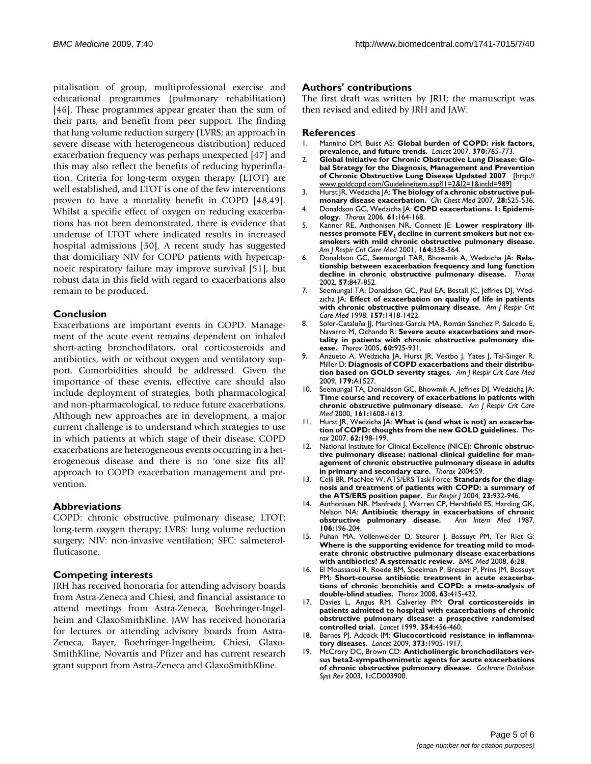pitalisation of group, multiprofessional exercise and educational programmes (pulmonary rehabilitation) [[46](#page-5-26)]. These programmes appear greater than the sum of their parts, and benefit from peer support. The finding that lung volume reduction surgery (LVRS; an approach in severe disease with heterogeneous distribution) reduced exacerbation frequency was perhaps unexpected [\[47\]](#page-5-27) and this may also reflect the benefits of reducing hyperinflation. Criteria for long-term oxygen therapy (LTOT) are well established, and LTOT is one of the few interventions proven to have a mortality benefit in COPD [[48](#page-5-28)[,49](#page-5-29)]. Whilst a specific effect of oxygen on reducing exacerbations has not been demonstrated, there is evidence that underuse of LTOT where indicated results in increased hospital admissions [[50\]](#page-5-30). A recent study has suggested that domiciliary NIV for COPD patients with hypercapnoeic respiratory failure may improve survival [\[51](#page-5-31)], but robust data in this field with regard to exacerbations also remain to be produced.

#### **Conclusion**

Exacerbations are important events in COPD. Management of the acute event remains dependent on inhaled short-acting bronchodilators, oral corticosteroids and antibiotics, with or without oxygen and ventilatory support. Comorbidities should be addressed. Given the importance of these events, effective care should also include deployment of strategies, both pharmacological and non-pharmacological, to reduce future exacerbations. Although new approaches are in development, a major current challenge is to understand which strategies to use in which patients at which stage of their disease. COPD exacerbations are heterogeneous events occurring in a heterogeneous disease and there is no 'one size fits all' approach to COPD exacerbation management and prevention.

# **Abbreviations**

COPD: chronic obstructive pulmonary disease; LTOT: long-term oxygen therapy; LVRS: lung volume reduction surgery; NIV: non-invasive ventilation; SFC: salmeterolfluticasone.

# **Competing interests**

JRH has received honoraria for attending advisory boards from Astra-Zeneca and Chiesi, and financial assistance to attend meetings from Astra-Zeneca, Boehringer-Ingelheim and GlaxoSmithKline. JAW has received honoraria for lectures or attending advisory boards from Astra-Zeneca, Bayer, Boehringer-Ingelheim, Chiesi, Glaxo-SmithKline, Novartis and Pfizer and has current research grant support from Astra-Zeneca and GlaxoSmithKline.

#### **Authors' contributions**

The first draft was written by JRH; the manuscript was then revised and edited by JRH and JAW.

#### **References**

- <span id="page-4-0"></span>1. Mannino DM, Buist AS: **[Global burden of COPD: risk factors,](http://www.ncbi.nlm.nih.gov/entrez/query.fcgi?cmd=Retrieve&db=PubMed&dopt=Abstract&list_uids=17765526) [prevalence, and future trends.](http://www.ncbi.nlm.nih.gov/entrez/query.fcgi?cmd=Retrieve&db=PubMed&dopt=Abstract&list_uids=17765526)** *Lancet* 2007, **370:**765-773.
- <span id="page-4-1"></span>2. **Global Initiative for Chronic Obstructive Lung Disease: Global Strategy for the Diagnosis, Management and Prevention of Chronic Obstructive Lung Disease Updated 2007** [\[http://](http://www.goldcopd.com/Guidelineitem.asp?l1=2&l2=1&intId=989) [www.goldcopd.com/Guidelineitem.asp?l1=2&l2=1&intId=989\]](http://www.goldcopd.com/Guidelineitem.asp?l1=2&l2=1&intId=989)
- <span id="page-4-2"></span>3. Hurst JR, Wedzicha JA: **[The biology of a chronic obstructive pul](http://www.ncbi.nlm.nih.gov/entrez/query.fcgi?cmd=Retrieve&db=PubMed&dopt=Abstract&list_uids=17720041)[monary disease exacerbation.](http://www.ncbi.nlm.nih.gov/entrez/query.fcgi?cmd=Retrieve&db=PubMed&dopt=Abstract&list_uids=17720041)** *Clin Chest Med* 2007, **28:**525-536.
- <span id="page-4-3"></span>4. Donaldson GC, Wedzicha JA: **[COPD exacerbations. 1: Epidemi](http://www.ncbi.nlm.nih.gov/entrez/query.fcgi?cmd=Retrieve&db=PubMed&dopt=Abstract&list_uids=16443707)[ology.](http://www.ncbi.nlm.nih.gov/entrez/query.fcgi?cmd=Retrieve&db=PubMed&dopt=Abstract&list_uids=16443707)** *Thorax* 2006, **61:**164-168.
- <span id="page-4-4"></span>5. Kanner RE, Anthonisen NR, Connett JE: **Lower respiratory ill**nesses promote FEV<sub>1</sub> [decline in current smokers but not ex](http://www.ncbi.nlm.nih.gov/entrez/query.fcgi?cmd=Retrieve&db=PubMed&dopt=Abstract&list_uids=11500333)**[smokers with mild chronic obstructive pulmonary disease.](http://www.ncbi.nlm.nih.gov/entrez/query.fcgi?cmd=Retrieve&db=PubMed&dopt=Abstract&list_uids=11500333)** *Am J Respir Crit Care Med* 2001, **164:**358-364.
- <span id="page-4-5"></span>6. Donaldson GC, Seemungal TAR, Bhowmik A, Wedzicha JA: **[Rela](http://www.ncbi.nlm.nih.gov/entrez/query.fcgi?cmd=Retrieve&db=PubMed&dopt=Abstract&list_uids=12324669)[tionship between exacerbation frequency and lung function](http://www.ncbi.nlm.nih.gov/entrez/query.fcgi?cmd=Retrieve&db=PubMed&dopt=Abstract&list_uids=12324669) [decline in chronic obstructive pulmonary disease.](http://www.ncbi.nlm.nih.gov/entrez/query.fcgi?cmd=Retrieve&db=PubMed&dopt=Abstract&list_uids=12324669)** *Thorax* 2002, **57:**847-852.
- <span id="page-4-6"></span>7. Seemungal TA, Donaldson GC, Paul EA, Bestall JC, Jeffries DJ, Wedzicha JA: **[Effect of exacerbation on quality of life in patients](http://www.ncbi.nlm.nih.gov/entrez/query.fcgi?cmd=Retrieve&db=PubMed&dopt=Abstract&list_uids=9603117) [with chronic obstructive pulmonary disease.](http://www.ncbi.nlm.nih.gov/entrez/query.fcgi?cmd=Retrieve&db=PubMed&dopt=Abstract&list_uids=9603117)** *Am J Respir Crit Care Med* 1998, **157:**1418-1422.
- <span id="page-4-7"></span>8. Soler-Cataluña JJ, Martínez-García MA, Román Sánchez P, Salcedo E, Navarro M, Ochando R: **[Severe acute exacerbations and mor](http://www.ncbi.nlm.nih.gov/entrez/query.fcgi?cmd=Retrieve&db=PubMed&dopt=Abstract&list_uids=16055622)[tality in patients with chronic obstructive pulmonary dis](http://www.ncbi.nlm.nih.gov/entrez/query.fcgi?cmd=Retrieve&db=PubMed&dopt=Abstract&list_uids=16055622)[ease.](http://www.ncbi.nlm.nih.gov/entrez/query.fcgi?cmd=Retrieve&db=PubMed&dopt=Abstract&list_uids=16055622)** *Thorax* 2005, **60:**925-931.
- <span id="page-4-8"></span>9. Anzueto A, Wedzicha JA, Hurst JR, Vestbo J, Yates J, Tal-Singer R, Miller D: **Diagnosis of COPD exacerbations and their distribution based on GOLD severity stages.** *Am J Respir Crit Care Med* 2009, **179:**A1527.
- <span id="page-4-9"></span>10. Seemungal TA, Donaldson GC, Bhowmik A, Jeffries DJ, Wedzicha JA: **[Time course and recovery of exacerbations in patients with](http://www.ncbi.nlm.nih.gov/entrez/query.fcgi?cmd=Retrieve&db=PubMed&dopt=Abstract&list_uids=10806163) [chronic obstructive pulmonary disease.](http://www.ncbi.nlm.nih.gov/entrez/query.fcgi?cmd=Retrieve&db=PubMed&dopt=Abstract&list_uids=10806163)** *Am J Respir Crit Care Med* 2000, **161:**1608-1613.
- <span id="page-4-10"></span>11. Hurst JR, Wedzicha JA: **[What is \(and what is not\) an exacerba](http://www.ncbi.nlm.nih.gov/entrez/query.fcgi?cmd=Retrieve&db=PubMed&dopt=Abstract&list_uids=17329557)[tion of COPD: thoughts from the new GOLD guidelines.](http://www.ncbi.nlm.nih.gov/entrez/query.fcgi?cmd=Retrieve&db=PubMed&dopt=Abstract&list_uids=17329557)** *Thorax* 2007, **62:**198-199.
- <span id="page-4-11"></span>12. National Institute for Clinical Excellence (NICE): **Chronic obstructive pulmonary disease: national clinical guideline for management of chronic obstructive pulmonary disease in adults in primary and secondary care.** *Thorax* 2004:59.
- <span id="page-4-12"></span>13. Celli BR, MacNee W, ATS/ERS Task Force: **[Standards for the diag](http://www.ncbi.nlm.nih.gov/entrez/query.fcgi?cmd=Retrieve&db=PubMed&dopt=Abstract&list_uids=15219010)[nosis and treatment of patients with COPD: a summary of](http://www.ncbi.nlm.nih.gov/entrez/query.fcgi?cmd=Retrieve&db=PubMed&dopt=Abstract&list_uids=15219010) [the ATS/ERS position paper.](http://www.ncbi.nlm.nih.gov/entrez/query.fcgi?cmd=Retrieve&db=PubMed&dopt=Abstract&list_uids=15219010)** *Eur Respir J* 2004, **23:**932-946.
- <span id="page-4-13"></span>14. Anthonisen NR, Manfreda J, Warren CP, Hershfield ES, Harding GK, Nelson NA: **[Antibiotic therapy in exacerbations of chronic](http://www.ncbi.nlm.nih.gov/entrez/query.fcgi?cmd=Retrieve&db=PubMed&dopt=Abstract&list_uids=3492164) [obstructive pulmonary disease.](http://www.ncbi.nlm.nih.gov/entrez/query.fcgi?cmd=Retrieve&db=PubMed&dopt=Abstract&list_uids=3492164)** *Ann Intern Med* 1987, **106:**196-204.
- <span id="page-4-14"></span>15. Puhan MA, Vollenweider D, Steurer J, Bossuyt PM, Ter Riet G: **[Where is the supporting evidence for treating mild to mod](http://www.ncbi.nlm.nih.gov/entrez/query.fcgi?cmd=Retrieve&db=PubMed&dopt=Abstract&list_uids=18847478)erate chronic obstructive pulmonary disease exacerbations [with antibiotics? A systematic review.](http://www.ncbi.nlm.nih.gov/entrez/query.fcgi?cmd=Retrieve&db=PubMed&dopt=Abstract&list_uids=18847478)** *BMC Med* 2008, **6:**28.
- <span id="page-4-15"></span>16. El Moussaoui R, Roede BM, Speelman P, Bresser P, Prins JM, Bossuyt PM: **[Short-course antibiotic treatment in acute exacerba](http://www.ncbi.nlm.nih.gov/entrez/query.fcgi?cmd=Retrieve&db=PubMed&dopt=Abstract&list_uids=18234905)[tions of chronic bronchitis and COPD: a meta-analysis of](http://www.ncbi.nlm.nih.gov/entrez/query.fcgi?cmd=Retrieve&db=PubMed&dopt=Abstract&list_uids=18234905) [double-blind studies.](http://www.ncbi.nlm.nih.gov/entrez/query.fcgi?cmd=Retrieve&db=PubMed&dopt=Abstract&list_uids=18234905)** *Thorax* 2008, **63:**415-422.
- <span id="page-4-16"></span>17. Davies L, Angus RM, Calverley PM: **[Oral corticosteroids in](http://www.ncbi.nlm.nih.gov/entrez/query.fcgi?cmd=Retrieve&db=PubMed&dopt=Abstract&list_uids=10465169) [patients admitted to hospital with exacerbations of chronic](http://www.ncbi.nlm.nih.gov/entrez/query.fcgi?cmd=Retrieve&db=PubMed&dopt=Abstract&list_uids=10465169) obstructive pulmonary disease: a prospective randomised [controlled trial.](http://www.ncbi.nlm.nih.gov/entrez/query.fcgi?cmd=Retrieve&db=PubMed&dopt=Abstract&list_uids=10465169)** *Lancet* 1999, **354:**456-460.
- <span id="page-4-17"></span>18. Barnes PJ, Adcock IM: **[Glucocorticoid resistance in inflamma](http://www.ncbi.nlm.nih.gov/entrez/query.fcgi?cmd=Retrieve&db=PubMed&dopt=Abstract&list_uids=19482216)[tory diseases.](http://www.ncbi.nlm.nih.gov/entrez/query.fcgi?cmd=Retrieve&db=PubMed&dopt=Abstract&list_uids=19482216)** *Lancet* 2009, **373:**1905-1917.
- <span id="page-4-18"></span>19. McCrory DC, Brown CD: **Anticholinergic bronchodilators versus beta2-sympathomimetic agents for acute exacerbations of chronic obstructive pulmonary disease.** *Cochrane Database Syst Rev* 2003, **1:**CD003900.